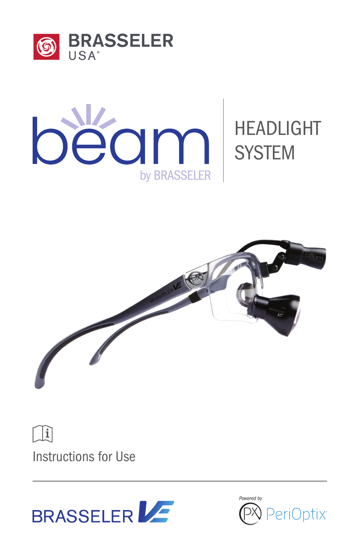



# HEADLIGHT



 $\left| \mathbf{j} \right|$ 

Instructions for Use



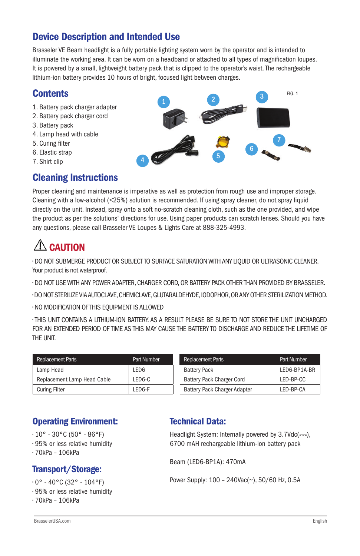# Device Description and Intended Use

Brasseler VE Beam headlight is a fully portable lighting system worn by the operator and is intended to illuminate the working area. It can be worn on a headband or attached to all types of magnification loupes. It is powered by a small, lightweight battery pack that is clipped to the operator's waist. The rechargeable lithium-ion battery provides 10 hours of bright, focused light between charges.

# **Contents**

- 1. Battery pack charger adapter
- 2. Battery pack charger cord
- 3. Battery pack
- 4. Lamp head with cable
- 5. Curing filter
- 6. Elastic strap
- 7. Shirt clip

# Cleaning Instructions

 $FIG. 1$ 2 6 7 4 50

Proper cleaning and maintenance is imperative as well as protection from rough use and improper storage. Cleaning with a low-alcohol (<25%) solution is recommended. If using spray cleaner, do not spray liquid directly on the unit. Instead, spray onto a soft no-scratch cleaning cloth, such as the one provided, and wipe the product as per the solutions' directions for use. Using paper products can scratch lenses. Should you have any questions, please call Brasseler VE Loupes & Lights Care at 888-325-4993.

# **CAUTION**

• DO NOT SUBMERGE PRODUCT OR SUBJECT TO SURFACE SATURATION WITH ANY LIQUID OR ULTRASONIC CLEANER. Your product is not waterproof.

• DO NOT USE WITH ANY POWER ADAPTER, CHARGER CORD, OR BATTERY PACK OTHER THAN PROVIDED BY BRASSELER.

• DO NOT STERILIZE VIA AUTOCLAVE, CHEMICLAVE, GLUTARALDEHYDE, IODOPHOR, OR ANY OTHER STERILIZATION METHOD.

• NO MODIFICATION OF THIS EQUIPMENT IS ALLOWED

• THIS UNIT CONTAINS A LITHIUM-ION BATTERY. AS A RESULT PLEASE BE SURE TO NOT STORE THE UNIT UNCHARGED FOR AN EXTENDED PERIOD OF TIME AS THIS MAY CAUSE THE BATTERY TO DISCHARGE AND REDUCE THE LIFETIME OF THE UNIT.

| <b>Replacement Parts</b>    | Part Number      | <b>Replacement Parts</b>     | Part Number  |
|-----------------------------|------------------|------------------------------|--------------|
| Lamp Head                   | LED <sub>6</sub> | <b>Battery Pack</b>          | LED6-BP1A-BR |
| Replacement Lamp Head Cable | LED6-C           | Battery Pack Charger Cord    | LED-BP-CC    |
| <b>Curing Filter</b>        | LED6-F           | Battery Pack Charger Adapter | LED-BP-CA    |

# Operating Environment:

 $\cdot$  10° - 30°C (50° - 86°F)

- 95% or less relative humidity
- 70kPa 106kPa

# Transport/Storage:

- 0° 40°C (32° 104°F)
- 95% or less relative humidity
- 70kPa 106kPa

# Technical Data:

Headlight System: Internally powered by  $3.7Vdc$  ( $\leftarrow$ ), 6700 mAH rechargeable lithium-ion battery pack

Beam (LED6-BP1A): 470mA

Power Supply: 100 – 240Vac(~), 50/60 Hz, 0.5A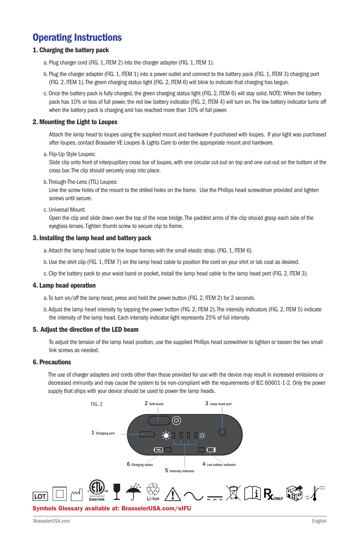# Operating Instructions

# 1. Charging the battery pack

- a. Plug charger cord (FIG. 1, ITEM 2) into the charger adapter (FIG. 1, ITEM 1).
- b. Plug the charger adapter (FIG. 1, ITEM 1) into a power outlet and connect to the battery pack (FIG. 1, ITEM 3) charging port (FIG. 2, ITEM 1). The green charging status light (FIG. 2, ITEM 6) will blink to indicate that charging has begun.
- c. Once the battery pack is fully charged, the green charging status light (FIG. 2, ITEM 6) will stay solid. NOTE: When the battery pack has 10% or less of full power, the red low battery indicator (FIG. 2, ITEM 4) will turn on. The low battery indicator turns off when the battery pack is charging and has reached more than 10% of full power.

# 2. Mounting the Light to Loupes

Attach the lamp head to loupes using the supplied mount and hardware if purchased with loupes. If your light was purchased after loupes, contact Brasseler VE Loupes & Lights Care to order the appropriate mount and hardware.

a. Flip-Up Style Loupes:

Slide clip onto front of interpupillary cross bar of loupes, with one circular cut-out on top and one cut-out on the bottom of the cross bar. The clip should securely snap into place.

b. Through-The-Lens (TTL) Loupes:

Line the screw holes of the mount to the drilled holes on the frame. Use the Phillips head screwdriver provided and tighten screws until secure.

c. Universal Mount:

Open the clip and slide down over the top of the nose bridge. The padded arms of the clip should grasp each side of the eyeglass lenses. Tighten thumb screw to secure clip to frame.

## 3. Installing the lamp head and battery pack

- a. Attach the lamp head cable to the loupe frames with the small elastic strap. (FIG. 1, ITEM 6).
- b. Use the shirt clip (FIG. 1, ITEM 7) on the lamp head cable to position the cord on your shirt or lab coat as desired.
- c. Clip the battery pack to your waist band or pocket, install the lamp head cable to the lamp head port (FIG. 2, ITEM 3).

#### 4. Lamp head operation

- a. To turn on/off the lamp head, press and hold the power button (FIG. 2, ITEM 2) for 2 seconds.
- b. Adjust the lamp head intensity by tapping the power button (FIG. 2, ITEM 2). The intensity indicators (FIG. 2, ITEM 5) indicate the intensity of the lamp head. Each intensity indicator light represents 25% of full intensity.

#### 5. Adjust the direction of the LED beam

To adjust the tension of the lamp head position, use the supplied Phillips head screwdriver to tighten or loosen the two small link screws as needed.

## 6. Precautions

The use of charger adapters and cords other than those provided for use with the device may result in increased emissions or decreased immunity and may cause the system to be non-compliant with the requirements of IEC 60601-1-2. Only the power supply that ships with your device should be used to power the lamp heads.

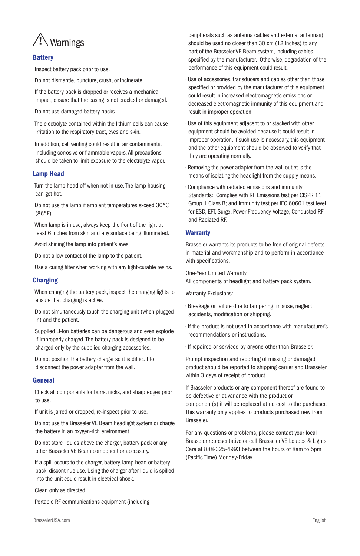

# **Battery**

• Inspect battery pack prior to use.

- Do not dismantle, puncture, crush, or incinerate.
- If the battery pack is dropped or receives a mechanical impact, ensure that the casing is not cracked or damaged.
- Do not use damaged battery packs.
- The electrolyte contained within the lithium cells can cause irritation to the respiratory tract, eyes and skin.
- In addition, cell venting could result in air contaminants, including corrosive or flammable vapors. All precautions should be taken to limit exposure to the electrolyte vapor.

#### Lamp Head

- Turn the lamp head off when not in use. The lamp housing can get hot.
- Do not use the lamp if ambient temperatures exceed 30°C (86°F).
- When lamp is in use, always keep the front of the light at least 6 inches from skin and any surface being illuminated.
- Avoid shining the lamp into patient's eyes.
- Do not allow contact of the lamp to the patient.
- Use a curing filter when working with any light-curable resins.

#### Charging

- When charging the battery pack, inspect the charging lights to ensure that charging is active.
- Do not simultaneously touch the charging unit (when plugged in) and the patient.
- Supplied Li-ion batteries can be dangerous and even explode if improperly charged. The battery pack is designed to be charged only by the supplied charging accessories.
- Do not position the battery charger so it is difficult to disconnect the power adapter from the wall.

#### **General**

- Check all components for burrs, nicks, and sharp edges prior to use.
- If unit is jarred or dropped, re-inspect prior to use.
- Do not use the Brasseler VE Beam headlight system or charge the battery in an oxygen-rich environment.
- Do not store liquids above the charger, battery pack or any other Brasseler VE Beam component or accessory.
- If a spill occurs to the charger, battery, lamp head or battery pack, discontinue use. Using the charger after liquid is spilled into the unit could result in electrical shock.
- Clean only as directed.
- Portable RF communications equipment (including

peripherals such as antenna cables and external antennas) should be used no closer than 30 cm (12 inches) to any part of the Brasseler VE Beam system, including cables specified by the manufacturer. Otherwise, degradation of the performance of this equipment could result.

- Use of accessories, transducers and cables other than those specified or provided by the manufacturer of this equipment could result in increased electromagnetic emissions or decreased electromagnetic immunity of this equipment and result in improper operation.
- Use of this equipment adjacent to or stacked with other equipment should be avoided because it could result in improper operation. If such use is necessary, this equipment and the other equipment should be observed to verify that they are operating normally.
- Removing the power adapter from the wall outlet is the means of isolating the headlight from the supply means.
- Compliance with radiated emissions and immunity Standards: Complies with RF Emissions test per CISPR 11 Group 1 Class B; and Immunity test per IEC 60601 test level for ESD, EFT, Surge, Power Frequency, Voltage, Conducted RF and Radiated RF.

# **Warranty**

Brasseler warrants its products to be free of original defects in material and workmanship and to perform in accordance with specifications.

One-Year Limited Warranty All components of headlight and battery pack system.

Warranty Exclusions:

- Breakage or failure due to tampering, misuse, neglect, accidents, modification or shipping.
- If the product is not used in accordance with manufacturer's recommendations or instructions.
- If repaired or serviced by anyone other than Brasseler.

Prompt inspection and reporting of missing or damaged product should be reported to shipping carrier and Brasseler within 3 days of receipt of product.

If Brasseler products or any component thereof are found to be defective or at variance with the product or component(s) it will be replaced at no cost to the purchaser. This warranty only applies to products purchased new from Brasseler.

For any questions or problems, please contact your local Brasseler representative or call Brasseler VE Loupes & Lights Care at 888-325-4993 between the hours of 8am to 5pm (Pacific Time) Monday-Friday.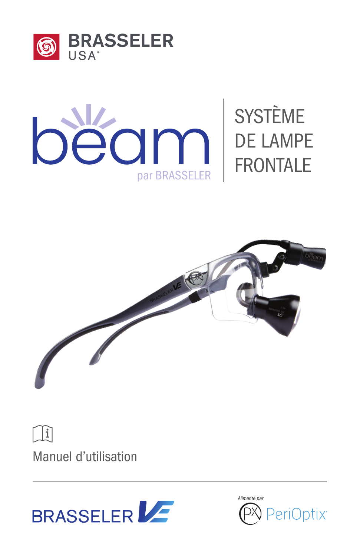



# SYSTÈME DE LAMPE FRONTALE



 $\mathbf{i}$ 

Manuel d'utilisation



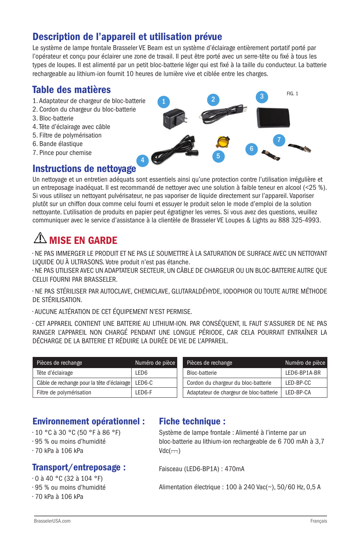# Description de l'appareil et utilisation prévue

Le système de lampe frontale Brasseler VE Beam est un système d'éclairage entièrement portatif porté par l'opérateur et conçu pour éclairer une zone de travail. Il peut être porté avec un serre-tête ou fixé à tous les types de loupes. Il est alimenté par un petit bloc-batterie léger qui est fixé à la taille du conducteur. La batterie rechargeable au lithium-ion fournit 10 heures de lumière vive et ciblée entre les charges.

# Table des matières

- 1. Adaptateur de chargeur de bloc-batterie
- 2. Cordon du chargeur du bloc-batterie
- 3. Bloc-batterie
- 4. Tête d'éclairage avec câble
- 5. Filtre de polymérisation
- 6. Bande élastique
- 7. Pince pour chemise

# $FIG. 1$ 2 6 7 4 60

# Instructions de nettoyage

Un nettoyage et un entretien adéquats sont essentiels ainsi qu'une protection contre l'utilisation irrégulière et un entreposage inadéquat. Il est recommandé de nettoyer avec une solution à faible teneur en alcool (<25 %). Si vous utilisez un nettoyant pulvérisateur, ne pas vaporiser de liquide directement sur l'appareil. Vaporiser plutôt sur un chiffon doux comme celui fourni et essuyer le produit selon le mode d'emploi de la solution nettoyante. L'utilisation de produits en papier peut égratigner les verres. Si vous avez des questions, veuillez communiquer avec le service d'assistance à la clientèle de Brasseler VE Loupes & Lights au 888 325-4993.

# $\triangle$  misf fn garde

• NE PAS IMMERGER LE PRODUIT ET NE PAS LE SOUMETTRE À LA SATURATION DE SURFACE AVEC UN NETTOYANT LIQUIDE OU À ULTRASONS. Votre produit n'est pas étanche.

• NE PAS UTILISER AVEC UN ADAPTATEUR SECTEUR, UN CÂBLE DE CHARGEUR OU UN BLOC-BATTERIE AUTRE QUE CELUI FOURNI PAR BRASSELER.

• NE PAS STÉRILISER PAR AUTOCLAVE, CHEMICLAVE, GLUTARALDÉHYDE, IODOPHOR OU TOUTE AUTRE MÉTHODE DE STÉRILISATION.

• AUCUNE ALTÉRATION DE CET ÉQUIPEMENT N'EST PERMISE.

• CET APPAREIL CONTIENT UNE BATTERIE AU LITHIUM-ION. PAR CONSÉQUENT, IL FAUT S'ASSURER DE NE PAS RANGER L'APPAREIL NON CHARGÉ PENDANT UNE LONGUE PÉRIODE, CAR CELA POURRAIT ENTRAÎNER LA DÉCHARGE DE LA BATTERIE ET RÉDUIRE LA DURÉE DE VIE DE L'APPAREIL.

| Pièces de rechange                         | Numéro de pièce  | Pièces de rechange                      | Numéro de pièce |
|--------------------------------------------|------------------|-----------------------------------------|-----------------|
| Tête d'éclairage                           | LED <sub>6</sub> | Bloc-batterie                           | LED6-BP1A-BR    |
| Câble de rechange pour la tête d'éclairage | LED6-C           | Cordon du chargeur du bloc-batterie     | LED-BP-CC       |
| Filtre de polymérisation                   | LED6-F           | Adaptateur de chargeur de bloc-batterie | LED-BP-CA       |

| Pièces de rechange                      | Numéro de pièce |
|-----------------------------------------|-----------------|
| Bloc-batterie                           | LED6-BP1A-BR    |
| Cordon du chargeur du bloc-batterie     | LED-BP-CC       |
| Adaptateur de chargeur de bloc-batterie | LED-BP-CA       |

# Environnement opérationnel :

• 10 °C à 30 °C (50 °F à 86 °F)

- 95 % ou moins d'humidité
- 70 kPa à 106 kPa

# Transport/entreposage :

• 0 à 40 °C (32 à 104 °F)

• 95 % ou moins d'humidité

• 70 kPa à 106 kPa

# Fiche technique :

Système de lampe frontale : Alimenté à l'interne par un bloc-batterie au lithium-ion rechargeable de 6 700 mAh à 3,7  $Vdc( ==)$ 

Faisceau (LED6-BP1A) : 470mA

Alimentation électrique : 100 à 240 Vac(~), 50/60 Hz, 0,5 A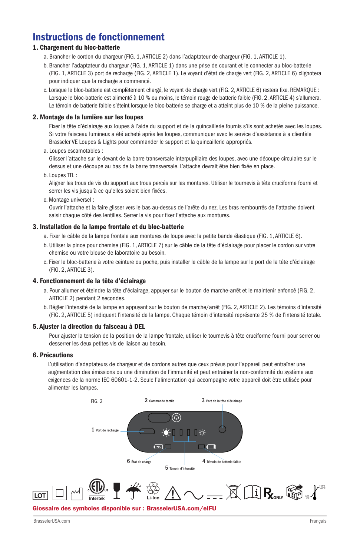# Instructions de fonctionnement

# 1. Chargement du bloc-batterie

- a. Brancher le cordon du chargeur (FIG. 1, ARTICLE 2) dans l'adaptateur de chargeur (FIG. 1, ARTICLE 1).
- b. Brancher l'adaptateur du chargeur (FIG. 1, ARTICLE 1) dans une prise de courant et le connecter au bloc-batterie (FIG. 1, ARTICLE 3) port de recharge (FIG. 2, ARTICLE 1). Le voyant d'état de charge vert (FIG. 2, ARTICLE 6) clignotera pour indiquer que la recharge a commencé.
- c. Lorsque le bloc-batterie est complètement chargé, le voyant de charge vert (FIG. 2, ARTICLE 6) restera fixe. REMARQUE : Lorsque le bloc-batterie est alimenté à 10 % ou moins, le témoin rouge de batterie faible (FIG. 2, ARTICLE 4) s'allumera. Le témoin de batterie faible s'éteint lorsque le bloc-batterie se charge et a atteint plus de 10 % de la pleine puissance.

#### 2. Montage de la lumière sur les loupes

Fixer la tête d'éclairage aux loupes à l'aide du support et de la quincaillerie fournis s'ils sont achetés avec les loupes. Si votre faisceau lumineux a été acheté après les loupes, communiquer avec le service d'assistance à a clientèle Brasseler VE Loupes & Lights pour commander le support et la quincaillerie appropriés.

a. Loupes escamotables :

Glisser l'attache sur le devant de la barre transversale interpupillaire des loupes, avec une découpe circulaire sur le dessus et une découpe au bas de la barre transversale. L'attache devrait être bien fixée en place.

b. Loupes TTL :

Aligner les trous de vis du support aux trous percés sur les montures. Utiliser le tournevis à tête cruciforme fourni et serrer les vis jusqu'à ce qu'elles soient bien fixées.

c. Montage universel :

Ouvrir l'attache et la faire glisser vers le bas au-dessus de l'arête du nez. Les bras rembourrés de l'attache doivent saisir chaque côté des lentilles. Serrer la vis pour fixer l'attache aux montures.

#### 3. Installation de la lampe frontale et du bloc-batterie

- a. Fixer le câble de la lampe frontale aux montures de loupe avec la petite bande élastique (FIG. 1, ARTICLE 6).
- b. Utiliser la pince pour chemise (FIG. 1, ARTICLE 7) sur le câble de la tête d'éclairage pour placer le cordon sur votre chemise ou votre blouse de laboratoire au besoin.
- c. Fixer le bloc-batterie à votre ceinture ou poche, puis installer le câble de la lampe sur le port de la tête d'éclairage (FIG. 2, ARTICLE 3).

#### 4. Fonctionnement de la tête d'éclairage

- a. Pour allumer et éteindre la tête d'éclairage, appuyer sur le bouton de marche-arrêt et le maintenir enfoncé (FIG. 2, ARTICLE 2) pendant 2 secondes.
- b. Régler l'intensité de la lampe en appuyant sur le bouton de marche/arrêt (FIG. 2, ARTICLE 2). Les témoins d'intensité (FIG. 2, ARTICLE 5) indiquent l'intensité de la lampe. Chaque témoin d'intensité représente 25 % de l'intensité totale.

#### 5. Ajuster la direction du faisceau à DEL

Pour ajuster la tension de la position de la lampe frontale, utiliser le tournevis à tête cruciforme fourni pour serrer ou desserrer les deux petites vis de liaison au besoin.

#### 6. Précautions

L'utilisation d'adaptateurs de chargeur et de cordons autres que ceux prévus pour l'appareil peut entraîner une augmentation des émissions ou une diminution de l'immunité et peut entraîner la non-conformité du système aux exigences de la norme IEC 60601-1-2. Seule l'alimentation qui accompagne votre appareil doit être utilisée pour alimenter les lampes.